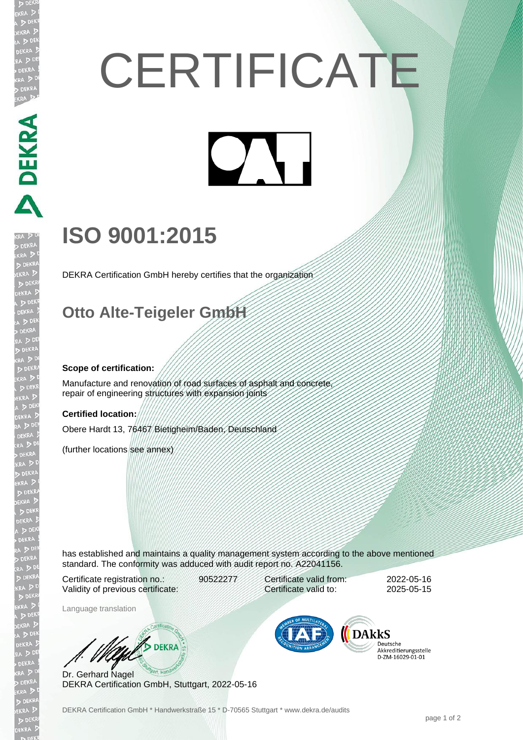# **CERTIFICATE**

# **ISO 9001:2015**

DEKRA Certification GmbH hereby certifies that the organization

### **Otto Alte-Teigeler GmbH**

#### **Scope of certification:**

PEKRA PEKRA

EKR

Manufacture and renovation of road surfaces of asphalt and concrete, repair of engineering structures with expansion joints

#### **Certified location:**

Obere Hardt 13, 76467 Bietigheim/Baden, Deutschland

(further locations see annex)

has established and maintains a quality management system according to the above mentioned standard. The conformity was adduced with audit report no. A22041156.

Certificate registration no.: 90522277 Validity of previous certificate:

Language translation

Certificate valid from: 2022-05-16 Certificate valid to: 2025-05-15

**DARKS** 

Deutsche Akkreditierungsstelle 

W/S DEKRA

Dr. Gerhard Nagel DEKRA Certification GmbH, Stuttgart, 2022-05-16